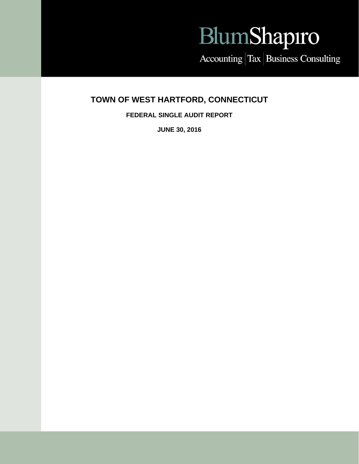# BlumShapiro

Accounting Tax Business Consulting

## **TOWN OF WEST HARTFORD, CONNECTICUT**

**FEDERAL SINGLE AUDIT REPORT** 

**JUNE 30, 2016**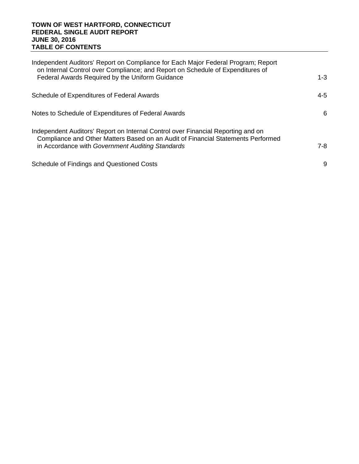#### **TOWN OF WEST HARTFORD, CONNECTICUT FEDERAL SINGLE AUDIT REPORT JUNE 30, 2016 TABLE OF CONTENTS**

| Independent Auditors' Report on Compliance for Each Major Federal Program; Report<br>on Internal Control over Compliance; and Report on Schedule of Expenditures of<br>Federal Awards Required by the Uniform Guidance   | $1 - 3$ |
|--------------------------------------------------------------------------------------------------------------------------------------------------------------------------------------------------------------------------|---------|
|                                                                                                                                                                                                                          |         |
| Schedule of Expenditures of Federal Awards                                                                                                                                                                               | $4 - 5$ |
| Notes to Schedule of Expenditures of Federal Awards                                                                                                                                                                      | 6       |
| Independent Auditors' Report on Internal Control over Financial Reporting and on<br>Compliance and Other Matters Based on an Audit of Financial Statements Performed<br>in Accordance with Government Auditing Standards | 7-8     |
| Schedule of Findings and Questioned Costs                                                                                                                                                                                | 9       |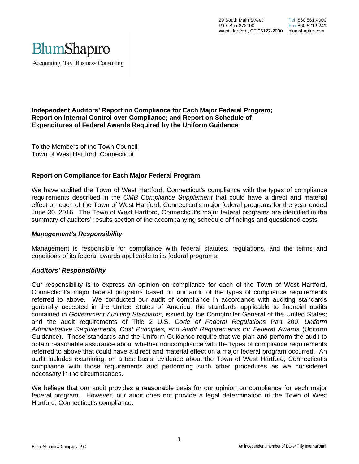

Accounting Tax Business Consulting

#### **Independent Auditors' Report on Compliance for Each Major Federal Program; Report on Internal Control over Compliance; and Report on Schedule of Expenditures of Federal Awards Required by the Uniform Guidance**

To the Members of the Town Council Town of West Hartford, Connecticut

#### **Report on Compliance for Each Major Federal Program**

We have audited the Town of West Hartford, Connecticut's compliance with the types of compliance requirements described in the *OMB Compliance Supplement* that could have a direct and material effect on each of the Town of West Hartford, Connecticut's major federal programs for the year ended June 30, 2016. The Town of West Hartford, Connecticut's major federal programs are identified in the summary of auditors' results section of the accompanying schedule of findings and questioned costs.

#### *Management's Responsibility*

Management is responsible for compliance with federal statutes, regulations, and the terms and conditions of its federal awards applicable to its federal programs.

#### *Auditors' Responsibility*

Our responsibility is to express an opinion on compliance for each of the Town of West Hartford, Connecticut's major federal programs based on our audit of the types of compliance requirements referred to above. We conducted our audit of compliance in accordance with auditing standards generally accepted in the United States of America; the standards applicable to financial audits contained in *Government Auditing Standards*, issued by the Comptroller General of the United States; and the audit requirements of Title 2 U.S. *Code of Federal Regulations* Part 200, *Uniform Administrative Requirements, Cost Principles, and Audit Requirements for Federal Awards* (Uniform Guidance). Those standards and the Uniform Guidance require that we plan and perform the audit to obtain reasonable assurance about whether noncompliance with the types of compliance requirements referred to above that could have a direct and material effect on a major federal program occurred. An audit includes examining, on a test basis, evidence about the Town of West Hartford, Connecticut's compliance with those requirements and performing such other procedures as we considered necessary in the circumstances.

We believe that our audit provides a reasonable basis for our opinion on compliance for each major federal program. However, our audit does not provide a legal determination of the Town of West Hartford, Connecticut's compliance.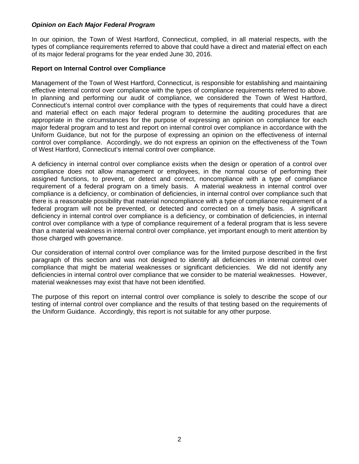#### *Opinion on Each Major Federal Program*

In our opinion, the Town of West Hartford, Connecticut, complied, in all material respects, with the types of compliance requirements referred to above that could have a direct and material effect on each of its major federal programs for the year ended June 30, 2016.

#### **Report on Internal Control over Compliance**

Management of the Town of West Hartford, Connecticut, is responsible for establishing and maintaining effective internal control over compliance with the types of compliance requirements referred to above. In planning and performing our audit of compliance, we considered the Town of West Hartford, Connecticut's internal control over compliance with the types of requirements that could have a direct and material effect on each major federal program to determine the auditing procedures that are appropriate in the circumstances for the purpose of expressing an opinion on compliance for each major federal program and to test and report on internal control over compliance in accordance with the Uniform Guidance, but not for the purpose of expressing an opinion on the effectiveness of internal control over compliance. Accordingly, we do not express an opinion on the effectiveness of the Town of West Hartford, Connecticut's internal control over compliance.

A deficiency in internal control over compliance exists when the design or operation of a control over compliance does not allow management or employees, in the normal course of performing their assigned functions, to prevent, or detect and correct, noncompliance with a type of compliance requirement of a federal program on a timely basis. A material weakness in internal control over compliance is a deficiency, or combination of deficiencies, in internal control over compliance such that there is a reasonable possibility that material noncompliance with a type of compliance requirement of a federal program will not be prevented, or detected and corrected on a timely basis. A significant deficiency in internal control over compliance is a deficiency, or combination of deficiencies, in internal control over compliance with a type of compliance requirement of a federal program that is less severe than a material weakness in internal control over compliance, yet important enough to merit attention by those charged with governance.

Our consideration of internal control over compliance was for the limited purpose described in the first paragraph of this section and was not designed to identify all deficiencies in internal control over compliance that might be material weaknesses or significant deficiencies. We did not identify any deficiencies in internal control over compliance that we consider to be material weaknesses. However, material weaknesses may exist that have not been identified.

The purpose of this report on internal control over compliance is solely to describe the scope of our testing of internal control over compliance and the results of that testing based on the requirements of the Uniform Guidance. Accordingly, this report is not suitable for any other purpose.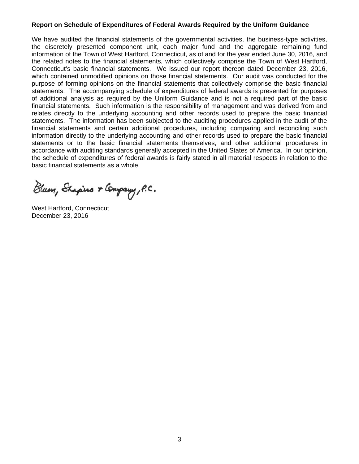#### **Report on Schedule of Expenditures of Federal Awards Required by the Uniform Guidance**

We have audited the financial statements of the governmental activities, the business-type activities, the discretely presented component unit, each major fund and the aggregate remaining fund information of the Town of West Hartford, Connecticut, as of and for the year ended June 30, 2016, and the related notes to the financial statements, which collectively comprise the Town of West Hartford, Connecticut's basic financial statements. We issued our report thereon dated December 23, 2016, which contained unmodified opinions on those financial statements. Our audit was conducted for the purpose of forming opinions on the financial statements that collectively comprise the basic financial statements. The accompanying schedule of expenditures of federal awards is presented for purposes of additional analysis as required by the Uniform Guidance and is not a required part of the basic financial statements. Such information is the responsibility of management and was derived from and relates directly to the underlying accounting and other records used to prepare the basic financial statements. The information has been subjected to the auditing procedures applied in the audit of the financial statements and certain additional procedures, including comparing and reconciling such information directly to the underlying accounting and other records used to prepare the basic financial statements or to the basic financial statements themselves, and other additional procedures in accordance with auditing standards generally accepted in the United States of America. In our opinion, the schedule of expenditures of federal awards is fairly stated in all material respects in relation to the basic financial statements as a whole.

Blum, Shapino & Company, P.C.

West Hartford, Connecticut December 23, 2016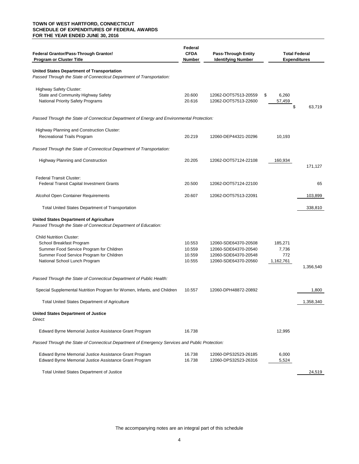#### **TOWN OF WEST HARTFORD, CONNECTICUT SCHEDULE OF EXPENDITURES OF FEDERAL AWARDS FOR THE YEAR ENDED JUNE 30, 2016**

| Federal Grantor/Pass-Through Grantor/<br><b>Program or Cluster Title</b>                                                                                                             | Federal<br><b>CFDA</b><br><b>Number</b> | <b>Pass-Through Entity</b><br><b>Identifying Number</b>                                      |                                      | <b>Total Federal</b><br><b>Expenditures</b> |
|--------------------------------------------------------------------------------------------------------------------------------------------------------------------------------------|-----------------------------------------|----------------------------------------------------------------------------------------------|--------------------------------------|---------------------------------------------|
| <b>United States Department of Transportation</b><br>Passed Through the State of Connecticut Department of Transportation:                                                           |                                         |                                                                                              |                                      |                                             |
| <b>Highway Safety Cluster:</b><br>State and Community Highway Safety<br><b>National Priority Safety Programs</b>                                                                     | 20.600<br>20.616                        | 12062-DOT57513-20559<br>12062-DOT57513-22600                                                 | \$<br>6,260<br>57,459<br>\$          | 63,719                                      |
| Passed Through the State of Connecticut Department of Energy and Environmental Protection:                                                                                           |                                         |                                                                                              |                                      |                                             |
| Highway Planning and Construction Cluster:<br><b>Recreational Trails Program</b>                                                                                                     | 20.219                                  | 12060-DEP44321-20296                                                                         | 10,193                               |                                             |
| Passed Through the State of Connecticut Department of Transportation:                                                                                                                |                                         |                                                                                              |                                      |                                             |
| <b>Highway Planning and Construction</b>                                                                                                                                             | 20.205                                  | 12062-DOT57124-22108                                                                         | 160,934                              | 171,127                                     |
| <b>Federal Transit Cluster:</b><br><b>Federal Transit Capital Investment Grants</b>                                                                                                  | 20.500                                  | 12062-DOT57124-22100                                                                         |                                      | 65                                          |
| Alcohol Open Container Requirements                                                                                                                                                  | 20.607                                  | 12062-DOT57513-22091                                                                         |                                      | 103,899                                     |
| <b>Total United States Department of Transportation</b>                                                                                                                              |                                         |                                                                                              |                                      | 338,810                                     |
| <b>United States Department of Agriculture</b><br>Passed Through the State of Connecticut Department of Education:                                                                   |                                         |                                                                                              |                                      |                                             |
| <b>Child Nutrition Cluster:</b><br>School Breakfast Program<br>Summer Food Service Program for Children<br>Summer Food Service Program for Children<br>National School Lunch Program | 10.553<br>10.559<br>10.559<br>10.555    | 12060-SDE64370-20508<br>12060-SDE64370-20540<br>12060-SDE64370-20548<br>12060-SDE64370-20560 | 185,271<br>7,736<br>772<br>1,162,761 | 1,356,540                                   |
| Passed Through the State of Connecticut Department of Public Health:                                                                                                                 |                                         |                                                                                              |                                      |                                             |
| Special Supplemental Nutrition Program for Women, Infants, and Children                                                                                                              | 10.557                                  | 12060-DPH48872-20892                                                                         |                                      | 1,800                                       |
| <b>Total United States Department of Agriculture</b>                                                                                                                                 |                                         |                                                                                              |                                      | 1,358,340                                   |
| United States Department of Justice<br>Direct:                                                                                                                                       |                                         |                                                                                              |                                      |                                             |
| Edward Byrne Memorial Justice Assistance Grant Program                                                                                                                               | 16.738                                  |                                                                                              | 12,995                               |                                             |
| Passed Through the State of Connecticut Department of Emergency Services and Public Protection:                                                                                      |                                         |                                                                                              |                                      |                                             |
| Edward Byrne Memorial Justice Assistance Grant Program<br>Edward Byrne Memorial Justice Assistance Grant Program                                                                     | 16.738<br>16.738                        | 12060-DPS32523-26185<br>12060-DPS32523-26316                                                 | 6,000<br>5,524                       |                                             |
| <b>Total United States Department of Justice</b>                                                                                                                                     |                                         |                                                                                              |                                      | 24,519                                      |

The accompanying notes are an integral part of this schedule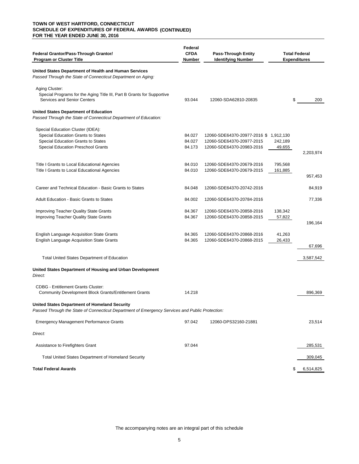#### SCHEDULE OF EXPENDITURES OF FEDERAL AWARDS (CONTINUED) **TOWN OF WEST HARTFORD, CONNECTICUT FOR THE YEAR ENDED JUNE 30, 2016**

| Federal Grantor/Pass-Through Grantor/<br><b>Program or Cluster Title</b>                                                                                   | Federal<br><b>CFDA</b><br>Number | <b>Pass-Through Entity</b><br><b>Identifying Number</b>                                          |                    | <b>Total Federal</b><br><b>Expenditures</b> |
|------------------------------------------------------------------------------------------------------------------------------------------------------------|----------------------------------|--------------------------------------------------------------------------------------------------|--------------------|---------------------------------------------|
| United States Department of Health and Human Services<br>Passed Through the State of Connecticut Department on Aging:                                      |                                  |                                                                                                  |                    |                                             |
| Aging Cluster:<br>Special Programs for the Aging Title III, Part B Grants for Supportive<br>Services and Senior Centers                                    | 93.044                           | 12060-SDA62810-20835                                                                             | \$                 | 200                                         |
| <b>United States Department of Education</b><br>Passed Through the State of Connecticut Department of Education:                                           |                                  |                                                                                                  |                    |                                             |
| Special Education Cluster (IDEA):<br>Special Education Grants to States<br>Special Education Grants to States<br><b>Special Education Preschool Grants</b> | 84.027<br>84.027<br>84.173       | 12060-SDE64370-20977-2016 \$ 1,912,130<br>12060-SDE64370-20977-2015<br>12060-SDE64370-20983-2016 | 242,189<br>49,655  | 2,203,974                                   |
| Title I Grants to Local Educational Agencies<br>Title I Grants to Local Educational Agencies                                                               | 84.010<br>84.010                 | 12060-SDE64370-20679-2016<br>12060-SDE64370-20679-2015                                           | 795,568<br>161,885 | 957,453                                     |
| Career and Technical Education - Basic Grants to States                                                                                                    | 84.048                           | 12060-SDE64370-20742-2016                                                                        |                    | 84,919                                      |
| Adult Education - Basic Grants to States                                                                                                                   | 84.002                           | 12060-SDE64370-20784-2016                                                                        |                    | 77,336                                      |
| <b>Improving Teacher Quality State Grants</b><br><b>Improving Teacher Quality State Grants</b>                                                             | 84.367<br>84.367                 | 12060-SDE64370-20858-2016<br>12060-SDE64370-20858-2015                                           | 138,342<br>57,822  | 196,164                                     |
| <b>English Language Acquisition State Grants</b><br><b>English Language Acquisition State Grants</b>                                                       | 84.365<br>84.365                 | 12060-SDE64370-20868-2016<br>12060-SDE64370-20868-2015                                           | 41,263<br>26,433   | 67,696                                      |
| <b>Total United States Department of Education</b>                                                                                                         |                                  |                                                                                                  |                    | 3,587,542                                   |
| United States Department of Housing and Urban Development<br>Direct:                                                                                       |                                  |                                                                                                  |                    |                                             |
| <b>CDBG - Entitlement Grants Cluster:</b><br><b>Community Development Block Grants/Entitlement Grants</b>                                                  | 14.218                           |                                                                                                  |                    | 896,369                                     |
| United States Department of Homeland Security<br>Passed Through the State of Connecticut Department of Emergency Services and Public Protection:           |                                  |                                                                                                  |                    |                                             |
| <b>Emergency Management Performance Grants</b>                                                                                                             | 97.042                           | 12060-DPS32160-21881                                                                             |                    | 23,514                                      |
| Direct:                                                                                                                                                    |                                  |                                                                                                  |                    |                                             |
| Assistance to Firefighters Grant                                                                                                                           | 97.044                           |                                                                                                  |                    | 285,531                                     |
| <b>Total United States Department of Homeland Security</b>                                                                                                 |                                  |                                                                                                  |                    | 309,045                                     |
| <b>Total Federal Awards</b>                                                                                                                                |                                  |                                                                                                  | \$                 | 6,514,825                                   |

The accompanying notes are an integral part of this schedule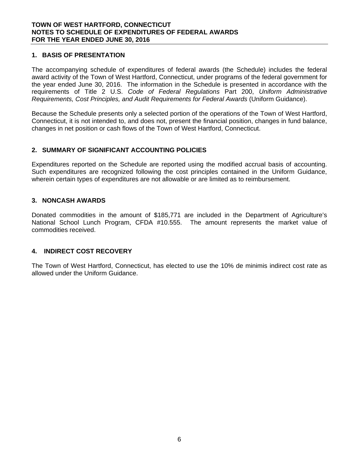#### **1. BASIS OF PRESENTATION**

The accompanying schedule of expenditures of federal awards (the Schedule) includes the federal award activity of the Town of West Hartford, Connecticut, under programs of the federal government for the year ended June 30, 2016. The information in the Schedule is presented in accordance with the requirements of Title 2 U.S. *Code of Federal Regulations* Part 200, *Uniform Administrative Requirements, Cost Principles, and Audit Requirements for Federal Awards* (Uniform Guidance).

Because the Schedule presents only a selected portion of the operations of the Town of West Hartford, Connecticut, it is not intended to, and does not, present the financial position, changes in fund balance, changes in net position or cash flows of the Town of West Hartford, Connecticut.

## **2. SUMMARY OF SIGNIFICANT ACCOUNTING POLICIES**

Expenditures reported on the Schedule are reported using the modified accrual basis of accounting. Such expenditures are recognized following the cost principles contained in the Uniform Guidance, wherein certain types of expenditures are not allowable or are limited as to reimbursement.

#### **3. NONCASH AWARDS**

Donated commodities in the amount of \$185,771 are included in the Department of Agriculture's National School Lunch Program, CFDA #10.555. The amount represents the market value of commodities received.

#### **4. INDIRECT COST RECOVERY**

The Town of West Hartford, Connecticut, has elected to use the 10% de minimis indirect cost rate as allowed under the Uniform Guidance.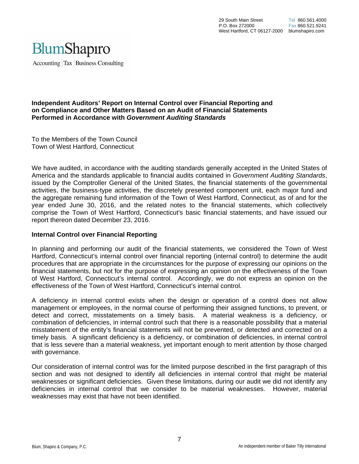

Accounting Tax Business Consulting

#### **Independent Auditors' Report on Internal Control over Financial Reporting and on Compliance and Other Matters Based on an Audit of Financial Statements Performed in Accordance with** *Government Auditing Standards*

To the Members of the Town Council Town of West Hartford, Connecticut

We have audited, in accordance with the auditing standards generally accepted in the United States of America and the standards applicable to financial audits contained in *Government Auditing Standards*, issued by the Comptroller General of the United States, the financial statements of the governmental activities, the business-type activities, the discretely presented component unit, each major fund and the aggregate remaining fund information of the Town of West Hartford, Connecticut, as of and for the year ended June 30, 2016, and the related notes to the financial statements, which collectively comprise the Town of West Hartford, Connecticut's basic financial statements, and have issued our report thereon dated December 23, 2016.

#### **Internal Control over Financial Reporting**

In planning and performing our audit of the financial statements, we considered the Town of West Hartford, Connecticut's internal control over financial reporting (internal control) to determine the audit procedures that are appropriate in the circumstances for the purpose of expressing our opinions on the financial statements, but not for the purpose of expressing an opinion on the effectiveness of the Town of West Hartford, Connecticut's internal control. Accordingly, we do not express an opinion on the effectiveness of the Town of West Hartford, Connecticut's internal control.

A deficiency in internal control exists when the design or operation of a control does not allow management or employees, in the normal course of performing their assigned functions, to prevent, or detect and correct, misstatements on a timely basis. A material weakness is a deficiency, or combination of deficiencies, in internal control such that there is a reasonable possibility that a material misstatement of the entity's financial statements will not be prevented, or detected and corrected on a timely basis. A significant deficiency is a deficiency, or combination of deficiencies, in internal control that is less severe than a material weakness, yet important enough to merit attention by those charged with governance.

Our consideration of internal control was for the limited purpose described in the first paragraph of this section and was not designed to identify all deficiencies in internal control that might be material weaknesses or significant deficiencies. Given these limitations, during our audit we did not identify any deficiencies in internal control that we consider to be material weaknesses. However, material weaknesses may exist that have not been identified.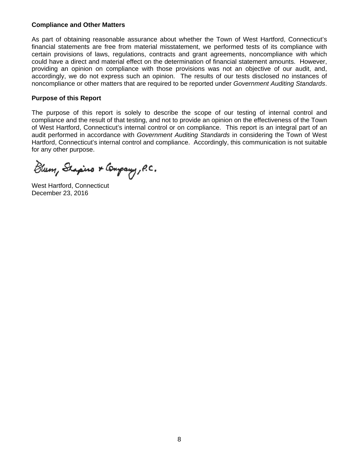#### **Compliance and Other Matters**

As part of obtaining reasonable assurance about whether the Town of West Hartford, Connecticut's financial statements are free from material misstatement, we performed tests of its compliance with certain provisions of laws, regulations, contracts and grant agreements, noncompliance with which could have a direct and material effect on the determination of financial statement amounts. However, providing an opinion on compliance with those provisions was not an objective of our audit, and, accordingly, we do not express such an opinion. The results of our tests disclosed no instances of noncompliance or other matters that are required to be reported under *Government Auditing Standards*.

#### **Purpose of this Report**

The purpose of this report is solely to describe the scope of our testing of internal control and compliance and the result of that testing, and not to provide an opinion on the effectiveness of the Town of West Hartford, Connecticut's internal control or on compliance. This report is an integral part of an audit performed in accordance with *Government Auditing Standards* in considering the Town of West Hartford, Connecticut's internal control and compliance. Accordingly, this communication is not suitable for any other purpose.

Blum, Shapino & Company, P.C.

West Hartford, Connecticut December 23, 2016